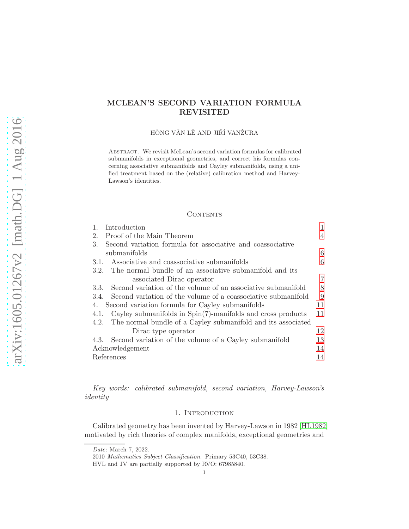# MCLEAN'S SECOND VARIATION FORMULA REVISITED

HÔNG VÂN LÊ AND JIŘÍ VANŽURA

Abstract. We revisit McLean's second variation formulas for calibrated submanifolds in exceptional geometries, and correct his formulas concerning associative submanifolds and Cayley submanifolds, using a unified treatment based on the (relative) calibration method and Harvey-Lawson's identities.

## **CONTENTS**

| Introduction                                                           | 1              |
|------------------------------------------------------------------------|----------------|
| Proof of the Main Theorem<br>2.                                        | $\overline{4}$ |
| Second variation formula for associative and coassociative<br>3.       |                |
| submanifolds                                                           | 6              |
| Associative and coassociative submanifolds<br>3.1.                     | 6              |
| The normal bundle of an associative submanifold and its<br>3.2.        |                |
| associated Dirac operator                                              | 7              |
| Second variation of the volume of an associative submanifold<br>3.3.   | 8              |
| Second variation of the volume of a coassociative submanifold<br>3.4.  | 9              |
| Second variation formula for Cayley submanifolds<br>4.                 | 11             |
| Cayley submanifolds in $Spin(7)$ -manifolds and cross products<br>4.1. | 11             |
| The normal bundle of a Cayley submanifold and its associated<br>4.2.   |                |
| Dirac type operator                                                    | 12             |
| Second variation of the volume of a Cayley submanifold<br>4.3.         | 13             |
| Acknowledgement                                                        | 14             |
| References                                                             | 14             |
|                                                                        |                |

<span id="page-0-0"></span>Key words: calibrated submanifold, second variation, Harvey-Lawson's identity

## 1. INTRODUCTION

Calibrated geometry has been invented by Harvey-Lawson in 1982 [\[HL1982\]](#page-13-2) motivated by rich theories of complex manifolds, exceptional geometries and

Date: March 7, 2022.

<sup>2010</sup> Mathematics Subject Classification. Primary 53C40, 53C38.

HVL and JV are partially supported by RVO: 67985840.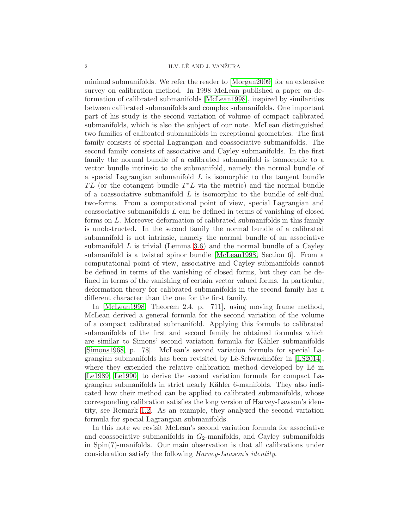minimal submanifolds. We refer the reader to [\[Morgan2009\]](#page-13-3) for an extensive survey on calibration method. In 1998 McLean published a paper on deformation of calibrated submanifolds [\[McLean1998\]](#page-13-4), inspired by similarities between calibrated submanifolds and complex submanifolds. One important part of his study is the second variation of volume of compact calibrated submanifolds, which is also the subject of our note. McLean distinguished two families of calibrated submanifolds in exceptional geometries. The first family consists of special Lagrangian and coassociative submanifolds. The second family consists of associative and Cayley submanifolds. In the first family the normal bundle of a calibrated submanifold is isomorphic to a vector bundle intrinsic to the submanifold, namely the normal bundle of a special Lagrangian submanifold  $L$  is isomorphic to the tangent bundle TL (or the cotangent bundle  $T^*L$  via the metric) and the normal bundle of a coassociative submanifold  $L$  is isomorphic to the bundle of self-dual two-forms. From a computational point of view, special Lagrangian and coassociative submanifolds  $L$  can be defined in terms of vanishing of closed forms on L. Moreover deformation of calibrated submanifolds in this family is unobstructed. In the second family the normal bundle of a calibrated submanifold is not intrinsic, namely the normal bundle of an associative submanifold  $L$  is trivial (Lemma [3.6\)](#page-6-1) and the normal bundle of a Cayley submanifold is a twisted spinor bundle [\[McLean1998,](#page-13-4) Section 6]. From a computational point of view, associative and Cayley submanifolds cannot be defined in terms of the vanishing of closed forms, but they can be defined in terms of the vanishing of certain vector valued forms. In particular, deformation theory for calibrated submanifolds in the second family has a different character than the one for the first family.

In [\[McLean1998,](#page-13-4) Theorem 2.4, p. 711], using moving frame method, McLean derived a general formula for the second variation of the volume of a compact calibrated submanifold. Applying this formula to calibrated submanifolds of the first and second family he obtained formulas which are similar to Simons' second variation formula for Kähler submanifolds [\[Simons1968,](#page-13-5) p. 78]. McLean's second variation formula for special Lagrangian submanifolds has been revisited by Lê-Schwachhöfer in  $[LS2014]$ , where they extended the relative calibration method developed by Lê in [\[Le1989,](#page-13-7) [Le1990\]](#page-13-8) to derive the second variation formula for compact Lagrangian submanifolds in strict nearly Kähler 6-manifolds. They also indicated how their method can be applied to calibrated submanifolds, whose corresponding calibration satisfies the long version of Harvey-Lawson's identity, see Remark [1.2.](#page-2-0) As an example, they analyzed the second variation formula for special Lagrangian submanifolds.

In this note we revisit McLean's second variation formula for associative and coassociative submanifolds in  $G_2$ -manifolds, and Cayley submanifolds in Spin(7)-manifolds. Our main observation is that all calibrations under consideration satisfy the following Harvey-Lawson's identity.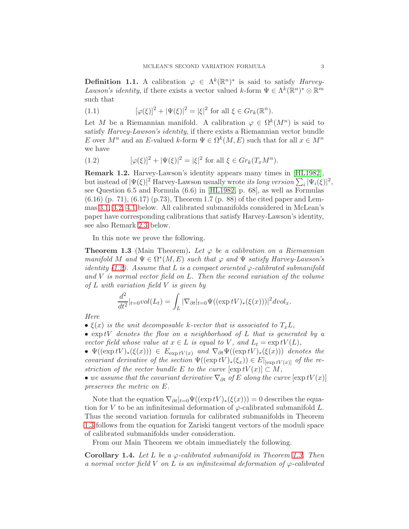**Definition 1.1.** A calibration  $\varphi \in \Lambda^k(\mathbb{R}^n)^*$  is said to satisfy *Harvey*-Lawson's identity, if there exists a vector valued k-form  $\Psi \in \Lambda^k(\mathbb{R}^n)^* \otimes \mathbb{R}^m$ such that

(1.1) 
$$
[\varphi(\xi)]^2 + |\Psi(\xi)|^2 = |\xi|^2 \text{ for all } \xi \in Gr_k(\mathbb{R}^n).
$$

Let M be a Riemannian manifold. A calibration  $\varphi \in \Omega^k(M^n)$  is said to satisfy Harvey-Lawson's identity, if there exists a Riemannian vector bundle E over  $M^n$  and an E-valued k-form  $\Psi \in \Omega^k(M, E)$  such that for all  $x \in M^n$ we have

<span id="page-2-1"></span>(1.2) 
$$
[\varphi(\xi)]^2 + |\Psi(\xi)|^2 = |\xi|^2 \text{ for all } \xi \in Gr_k(T_x M^n).
$$

<span id="page-2-0"></span>Remark 1.2. Harvey-Lawson's identity appears many times in [\[HL1982\]](#page-13-2), but instead of  $|\Psi(\xi)|^2$  Harvey-Lawson usually wrote *its long version*  $\sum_i |\Psi_i(\xi)|^2$ , see Question 6.5 and Formula (6.6) in [\[HL1982,](#page-13-2) p. 68], as well as Formulas (6.16) (p. 71), (6.17) (p.73), Theorem 1.7 (p. 88) of the cited paper and Lemmas [3.1,](#page-5-2) [3.2,](#page-6-2) [4.1](#page-11-1) below. All calibrated submanifolds considered in McLean's paper have corresponding calibrations that satisfy Harvey-Lawson's identity, see also Remark [2.3](#page-4-0) below.

In this note we prove the following.

<span id="page-2-2"></span>**Theorem 1.3** (Main Theorem). Let  $\varphi$  be a calibration on a Riemannian manifold M and  $\Psi \in \Omega^*(M, E)$  such that  $\varphi$  and  $\Psi$  satisfy Harvey-Lawson's identity [\(1.2\)](#page-2-1). Assume that L is a compact oriented  $\varphi$ -calibrated submanifold and V is normal vector field on L. Then the second variation of the volume of  $L$  with variation field  $V$  is given by

$$
\frac{d^2}{dt^2}|_{t=0}vol(L_t) = \int_L |\nabla_{\partial t}|_{t=0} \Psi((\exp tV)_*(\xi(x)))|^2 dvol_x.
$$

Here

- $\xi(x)$  is the unit decomposable k-vector that is associated to  $T_xL$ ,
- $\bullet$  exptV denotes the flow on a neighborhood of L that is generated by a vector field whose value at  $x \in L$  is equal to V, and  $L_t = \exp tV(L)$ ,

•  $\Psi((\exp tV)_*(\xi(x))) \in E_{\exp tV(x)}$  and  $\nabla_{\partial t}\Psi((\exp tV)_*(\xi(x)))$  denotes the covariant derivative of the section  $\Psi((\exp tV)_*(\xi_x)) \in E|_{[\exp tV(x)]}$  of the restriction of the vector bundle E to the curve  $[\exp tV(x)] \subset M$ ,

• we assume that the covariant derivative  $\nabla_{\partial t}$  of E along the curve  $[\exp tV(x)]$ preserves the metric on E.

Note that the equation  $\nabla_{\partial t}|_{t=0}\Psi((\exp tV)_*(\xi(x)))=0$  describes the equation for V to be an infinitesimal deformation of  $\varphi$ -calibrated submanifold L. Thus the second variation formula for calibrated submanifolds in Theorem [1.3](#page-2-2) follows from the equation for Zariski tangent vectors of the moduli space of calibrated submanifolds under consideration.

From our Main Theorem we obtain immediately the following.

<span id="page-2-3"></span>Corollary 1.4. Let L be a  $\varphi$ -calibrated submanifold in Theorem [1.3.](#page-2-2) Then a normal vector field V on L is an infinitesimal deformation of  $\varphi$ -calibrated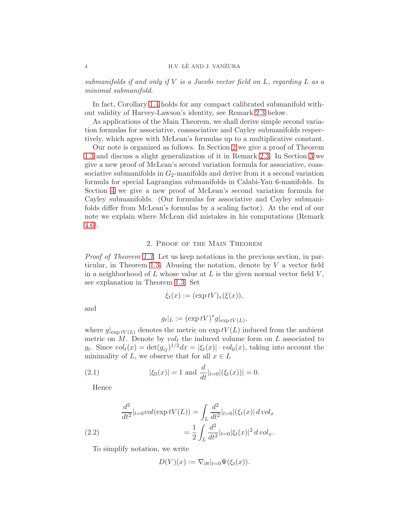### 4 H.V. LÊ AND J. VANŽURA

submanifolds if and only if  $V$  is a Jacobi vector field on  $L$ , regarding  $L$  as a minimal submanifold.

In fact, Corollary [1.4](#page-2-3) holds for any compact calibrated submanifold without validity of Harvey-Lawson's identity, see Remark [2.3](#page-4-0) below.

As applications of the Main Theorem, we shall derive simple second variation formulas for associative, coassociative and Cayley submanifolds respectively, which agree with McLean's formulas up to a multiplicative constant.

Our note is organized as follows. In Section [2](#page-3-0) we give a proof of Theorem [1.3](#page-2-2) and discuss a slight generalization of it in Remark [2.3.](#page-4-0) In Section [3](#page-5-0) we give a new proof of McLean's second variation formula for associative, coassociative submanifolds in  $G_2$ -manifolds and derive from it a second variation formula for special Lagrangian submanifolds in Calabi-Yau 6-manifolds. In Section [4](#page-10-0) we give a new proof of McLean's second variation formula for Cayley submanifolds. (Our formulas for associative and Cayley submanifolds differ from McLean's formulas by a scaling factor). At the end of our note we explain where McLean did mistakes in his computations (Remark [4.6\)](#page-12-1).

### 2. Proof of the Main Theorem

<span id="page-3-0"></span>Proof of Theorem [1.3.](#page-2-2) Let us keep notations in the previous section, in par-ticular, in Theorem [1.3.](#page-2-2) Abusing the notation, denote by  $V$  a vector field in a neighborhood of  $L$  whose value at  $L$  is the given normal vector field  $V$ , see explanation in Theorem [1.3.](#page-2-2) Set

$$
\xi_t(x) := (\exp tV)_*(\xi(x)),
$$

and

$$
g_t|_L := (\exp tV)^* g|_{\exp tV(L)},
$$

where  $g|_{\exp tV(L)}$  denotes the metric on  $\exp tV(L)$  induced from the ambient metric on M. Denote by  $vol_t$  the induced volume form on L associated to  $g_t$ . Since  $vol_t(x) = det(g_{ij})^{1/2} dx = |\xi_t(x)| \cdot vol_0(x)$ , taking into account the minimality of L, we observe that for all  $x \in L$ 

(2.1) 
$$
|\xi_0(x)| = 1 \text{ and } \frac{d}{dt}|_{t=0} |(\xi_t(x))| = 0.
$$

<span id="page-3-1"></span>Hence

(2.2) 
$$
\frac{d^2}{dt^2}|_{t=0}vol(\exp tV(L)) = \int_L \frac{d^2}{dt^2}|_{t=0}|(\xi_t(x)| \, dvol_x)
$$

$$
= \frac{1}{2} \int_L \frac{d^2}{dt^2}|_{t=0} |\xi_t(x)|^2 \, dvol_x.
$$

To simplify notation, we write

$$
D(V)(x) := \nabla_{\partial t}|_{t=0} \Psi(\xi_t(x)).
$$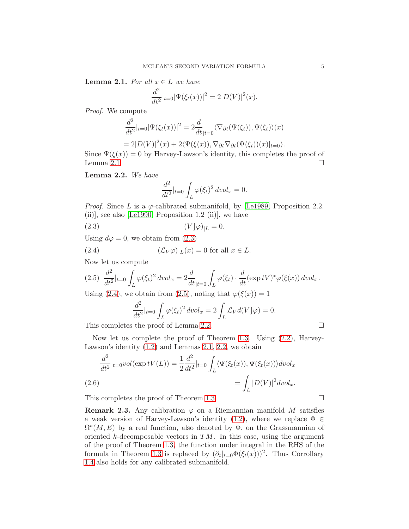<span id="page-4-1"></span>**Lemma 2.1.** For all  $x \in L$  we have

$$
\frac{d^2}{dt^2}|_{t=0} |\Psi(\xi_t(x))|^2 = 2|D(V)|^2(x).
$$

Proof. We compute

$$
\frac{d^2}{dt^2}|_{t=0}|\Psi(\xi_t(x))|^2 = 2\frac{d}{dt}|_{t=0}\langle \nabla_{\partial t}(\Psi(\xi_t)), \Psi(\xi_t)\rangle(x)
$$
  
= 2|D(V)|^2(x) + 2\langle \Psi(\xi(x)), \nabla\_{\partial t}(\Psi(\xi\_t))(x)|\_{t=0}\rangle.

Since  $\Psi(\xi(x)) = 0$  by Harvey-Lawson's identity, this completes the proof of Lemma [2.1.](#page-4-1)  $\Box$ 

<span id="page-4-5"></span>Lemma 2.2. We have

<span id="page-4-2"></span>
$$
\frac{d^2}{dt^2}|_{t=0}\int_L\varphi(\xi_t)^2\,dvol_x=0.
$$

*Proof.* Since L is a  $\varphi$ -calibrated submanifold, by [\[Le1989,](#page-13-7) Proposition 2.2.  $(iii)$ , see also [\[Le1990,](#page-13-8) Proposition 1.2 (ii)], we have

(2.3) (V ⌋ϕ)|<sup>L</sup> = 0.

Using  $d\varphi = 0$ , we obtain from [\(2.3\)](#page-4-2)

(2.4) 
$$
(\mathcal{L}_V \varphi)|_L(x) = 0 \text{ for all } x \in L.
$$

Now let us compute

<span id="page-4-4"></span>
$$
(2.5) \frac{d^2}{dt^2}|_{t=0} \int_L \varphi(\xi_t)^2 \, dvol_x = 2 \frac{d}{dt}|_{t=0} \int_L \varphi(\xi_t) \cdot \frac{d}{dt} (\exp tV)^* \varphi(\xi(x)) \, dvol_x.
$$

Using [\(2.4\)](#page-4-3), we obtain from [\(2.5\)](#page-4-4), noting that  $\varphi(\xi(x)) = 1$ 

<span id="page-4-3"></span>
$$
\frac{d^2}{dt^2}|_{t=0}\int_L\varphi(\xi_t)^2\,dvol_x=2\int_L\mathcal{L}_Vd(V\rfloor\varphi)=0.
$$

This completes the proof of Lemma [2.2.](#page-4-5)

Now let us complete the proof of Theorem [1.3.](#page-2-2) Using [\(2.2\)](#page-3-1), Harvey-Lawson's identity [\(1.2\)](#page-2-1) and Lemmas [2.1,](#page-4-1) [2.2,](#page-4-5) we obtain

$$
\frac{d^2}{dt^2}|_{t=0}vol(\exp tV(L)) = \frac{1}{2}\frac{d^2}{dt^2}|_{t=0} \int_L \langle \Psi(\xi_t(x)), \Psi(\xi_t(x)) \rangle dvol_x
$$
\n(2.6)\n
$$
= \int_L |D(V)|^2 dvol_x.
$$

This completes the proof of Theorem [1.3.](#page-2-2)

<span id="page-4-0"></span>**Remark 2.3.** Any calibration  $\varphi$  on a Riemannian manifold M satisfies a weak version of Harvey-Lawson's identity [\(1.2\)](#page-2-1), where we replace  $\Phi \in$  $\Omega^*(M, E)$  by a real function, also denoted by  $\Phi$ , on the Grassmannian of oriented  $k$ -decomposable vectors in  $TM$ . In this case, using the argument of the proof of Theorem [1.3,](#page-2-2) the function under integral in the RHS of the formula in Theorem [1.3](#page-2-2) is replaced by  $(\partial_t|_{t=0} \Phi(\xi_t(x)))^2$ . Thus Corrollary [1.4](#page-2-3) also holds for any calibrated submanifold.

$$
f_{\rm{max}}
$$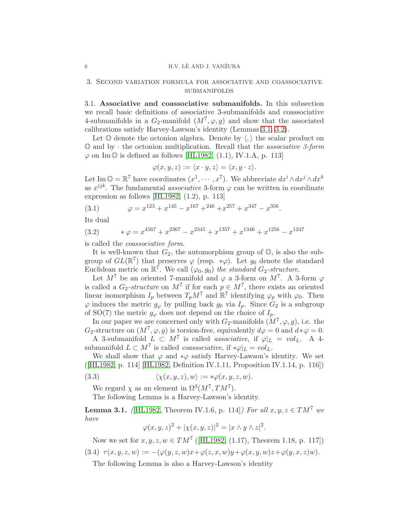#### 6 **H.V. LÊ AND J. VANŽURA**

## 3. Second variation formula for associative and coassociative submanifolds

<span id="page-5-1"></span>3.1. Associative and coassociative submanifolds. In this subsection we recall basic definitions of associative 3-submanifolds and coassociative 4-submanifolds in a  $G_2$ -manifold  $(M^7, \varphi, g)$  and show that the associated calibrations satisfy Harvey-Lawson's identity (Lemmas [3.1,](#page-5-2) [3.2\)](#page-6-2).

Let  $\mathbb O$  denote the octonion algebra. Denote by  $\langle, \rangle$  the scalar product on  $\mathbb O$  and by  $\cdot$  the octonion multiplication. Recall that the *associative 3-form*  $\varphi$  on Im  $\mathbb{O}$  is defined as follows [\[HL1982,](#page-13-2) (1.1), IV.1.A, p. 113]

$$
\varphi(x, y, z) := \langle x \cdot y, z \rangle = \langle x, y \cdot z \rangle.
$$

Let Im  $\mathbb{O} = \mathbb{R}^7$  have coordinates  $(x^1, \dots, x^7)$ . We abbreviate  $dx^i \wedge dx^j \wedge dx^k$ as  $x^{ijk}$ . The fundamental *associative* 3-form  $\varphi$  can be written in coordinate expression as follows [\[HL1982,](#page-13-2) (1.2), p. 113]

(3.1) 
$$
\varphi = x^{123} + x^{145} - x^{167} + x^{246} + x^{257} + x^{347} - x^{356}.
$$

Its dual

(3.2) 
$$
\ast \varphi = x^{4567} + x^{2367} - x^{2345} + x^{1357} + x^{1346} + x^{1256} - x^{1247}
$$

is called the coassociative form.

It is well-known that  $G_2$ , the automorphism group of  $\mathbb{O}$ , is also the subgroup of  $GL(\mathbb{R}^7)$  that preserves  $\varphi$  (resp. \* $\varphi$ ). Let  $g_0$  denote the standard Euclidean metric on  $\mathbb{R}^7$ . We call  $(\varphi_0, g_0)$  the standard  $G_2$ -structure.

Let  $M^7$  be an oriented 7-manifold and  $\varphi$  a 3-form on  $M^7$ . A 3-form  $\varphi$ is called a  $G_2$ -structure on  $M^7$  if for each  $p \in M^7$ , there exists an oriented linear isomorphism  $I_p$  between  $T_p M^7$  and  $\mathbb{R}^7$  identifying  $\varphi_p$  with  $\varphi_0$ . Then  $\varphi$  induces the metric  $g_{\varphi}$  by pulling back  $g_0$  via  $I_p$ . Since  $G_2$  is a subgroup of SO(7) the metric  $g_{\varphi}$  does not depend on the choice of  $I_p$ .

In our paper we are concerned only with  $G_2$ -manifolds  $(M^7, \varphi, g)$ , i.e. the G<sub>2</sub>-structure on  $(M^7, \varphi, g)$  is torsion-free, equivalently  $d\varphi = 0$  and  $d * \varphi = 0$ .

A 3-submanifold  $L \subset M^7$  is called associative, if  $\varphi|_L = vol_L$ . A 4submanifold  $L \subset M^7$  is called *coassociative*, if  $*\varphi|_L = vol_L$ .

We shall show that  $\varphi$  and  $*\varphi$  satisfy Harvey-Lawson's identity. We set ([\[HL1982,](#page-13-2) p. 114] [\[HL1982,](#page-13-2) Definition IV.1.11, Proposition IV.1.14, p. 116])

(3.3) 
$$
\langle \chi(x, y, z), w \rangle := * \varphi(x, y, z, w).
$$

We regard  $\chi$  as an element in  $\Omega^3(M^7, TM^7)$ .

The following Lemma is a Harvey-Lawson's identity.

<span id="page-5-2"></span>**Lemma 3.1.** (HL1982, Theorem IV.1.6, p. 114) For all  $x, y, z \in TM^7$  we have

$$
\varphi(x, y, z)^2 + |\chi(x, y, z)|^2 = |x \wedge y \wedge z|^2.
$$

Now we set for  $x, y, z, w \in TM^7$  ([\[HL1982,](#page-13-2) (1.17), Theorem 1.18, p. 117]) (3.4)  $\tau(x, y, z, w) := -(\varphi(y, z, w)x + \varphi(z, x, w)y + \varphi(x, y, w)z + \varphi(y, x, z)w).$ 

<span id="page-5-3"></span>The following Lemma is also a Harvey-Lawson's identity

<span id="page-5-0"></span>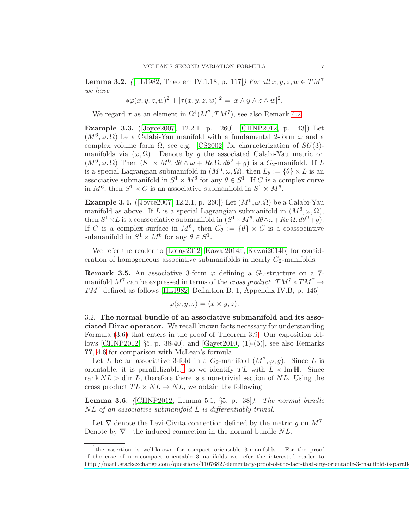<span id="page-6-2"></span>**Lemma 3.2.** (HL1982, Theorem IV.1.18, p. 117) For all  $x, y, z, w \in TM^7$ we have

$$
*\varphi(x,y,z,w)^2+|\tau(x,y,z,w)|^2=|x\wedge y\wedge z\wedge w|^2.
$$

We regard  $\tau$  as an element in  $\Omega^4(M^7, TM^7)$ , see also Remark [4.2.](#page-11-2)

<span id="page-6-4"></span>Example 3.3. ([\[Joyce2007,](#page-13-9) 12.2.1, p. 260], [\[CHNP2012,](#page-13-10) p. 43]) Let  $(M^6, \omega, \Omega)$  be a Calabi-Yau manifold with a fundamental 2-form  $\omega$  and a complex volume form  $\Omega$ , see e.g. [\[CS2002\]](#page-13-11) for characterization of  $SU(3)$ manifolds via  $(\omega, \Omega)$ . Denote by g the associated Calabi-Yau metric on  $(M^6, \omega, \Omega)$  Then  $(S^1 \times M^6, d\theta \wedge \omega + Re\Omega, d\theta^2 + g)$  is a  $G_2$ -manifold. If L is a special Lagrangian submanifold in  $(M^6, \omega, \Omega)$ , then  $L_\theta := \{ \theta \} \times L$  is an associative submanifold in  $S^1 \times M^6$  for any  $\theta \in S^1$ . If C is a complex curve in  $M^6$ , then  $S^1 \times C$  is an associative submanifold in  $S^1 \times M^6$ .

Example 3.4. (Joyce2007, 12.2.1, p. 260) Let  $(M^6, \omega, \Omega)$  be a Calabi-Yau manifold as above. If L is a special Lagrangian submanifold in  $(M^6, \omega, \Omega)$ , then  $S^1 \times L$  is a coassociative submanifold in  $(S^1 \times M^6, d\theta \wedge \omega + Re \Omega, d\theta^2 + g)$ . If C is a complex surface in  $M^6$ , then  $C_\theta := {\theta} \times C$  is a coassociative submanifold in  $S^1 \times M^6$  for any  $\theta \in S^1$ .

We refer the reader to [\[Lotay2012,](#page-13-12) [Kawai2014a,](#page-13-13) [Kawai2014b\]](#page-13-14) for consideration of homogeneous associative submanifolds in nearly  $G_2$ -manifolds.

**Remark 3.5.** An associative 3-form  $\varphi$  defining a  $G_2$ -structure on a 7manifold  $M^7$  can be expressed in terms of the *cross product*:  $TM^7 \times TM^7 \rightarrow$  $TM^7$  defined as follows [\[HL1982,](#page-13-2) Definition B. 1, Appendix IV.B, p. 145]

$$
\varphi(x, y, z) = \langle x \times y, z \rangle.
$$

<span id="page-6-0"></span>3.2. The normal bundle of an associative submanifold and its associated Dirac operator. We recall known facts necessary for understanding Formula [\(3.6\)](#page-7-1) that enters in the proof of Theorem [3.9.](#page-7-2) Our exposition follows [\[CHNP2012,](#page-13-10) §5, p. 38-40], and [\[Gayet2010,](#page-13-15) (1)-(5)], see also Remarks ??, [4.6](#page-12-1) for comparison with McLean's formula.

Let L be an associative 3-fold in a  $G_2$ -manifold  $(M^7, \varphi, g)$ . Since L is orientable, it is parallelizable,<sup>[1](#page-6-3)</sup> so we identify  $TL$  with  $L \times \text{Im } \mathbb{H}$ . Since rank  $NL > \dim L$ , therefore there is a non-trivial section of NL. Using the cross product  $TL \times NL \rightarrow NL$ , we obtain the following

<span id="page-6-1"></span>**Lemma 3.6.** (CHNP2012, Lemma 5.1,  $\S5$ , p. 38). The normal bundle NL of an associative submanifold L is differentiably trivial.

Let  $\nabla$  denote the Levi-Civita connection defined by the metric g on  $M^7$ . Denote by  $\nabla^{\perp}$  the induced connection in the normal bundle NL.

<sup>&</sup>lt;sup>1</sup>the assertion is well-known for compact orientable 3-manifolds. For the proof

<span id="page-6-3"></span>of the case of non-compact orientable 3-manifolds we refer the interested reader to

http://math.stackexchange.com/questions/1107682/elementary-proof-of-the-fact-that-any-orientable-3-manifold-is-parall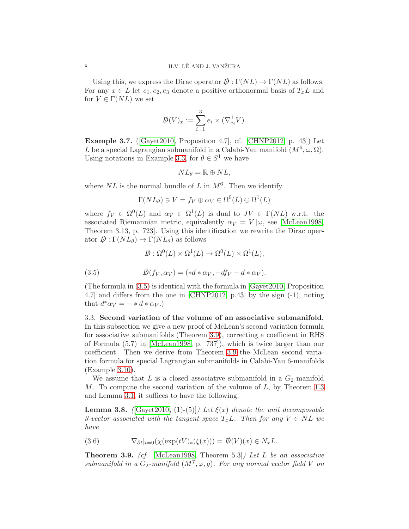Using this, we express the Dirac operator  $\mathcal{D}: \Gamma(NL) \to \Gamma(NL)$  as follows. For any  $x \in L$  let  $e_1, e_2, e_3$  denote a positive orthonormal basis of  $T_xL$  and for  $V \in \Gamma(NL)$  we set

$$
\mathcal{D}(V)_x := \sum_{i=1}^3 e_i \times (\nabla_{e_i}^{\perp} V).
$$

<span id="page-7-5"></span>Example 3.7. ([\[Gayet2010,](#page-13-15) Proposition 4.7], cf. [\[CHNP2012,](#page-13-10) p. 43]) Let L be a special Lagrangian submanifold in a Calabi-Yau manifold  $(M^6, \omega, \Omega)$ . Using notations in Example [3.3,](#page-6-4) for  $\theta \in S^1$  we have

$$
NL_{\theta} = \mathbb{R} \oplus NL,
$$

where  $NL$  is the normal bundle of L in  $M^6$ . Then we identify

$$
\Gamma(NL_{\theta}) \ni V = f_V \oplus \alpha_V \in \Omega^0(L) \oplus \Omega^1(L)
$$

where  $f_V \in \Omega^0(L)$  and  $\alpha_V \in \Omega^1(L)$  is dual to  $JV \in \Gamma(NL)$  w.r.t. the associated Riemannian metric, equivalently  $\alpha_V = V | \omega$ , see [\[McLean1998,](#page-13-4) Theorem 3.13, p. 723]. Using this identification we rewrite the Dirac operator  $\mathcal{D}: \Gamma(NL_{\theta}) \to \Gamma(NL_{\theta})$  as follows

<span id="page-7-3"></span>
$$
\mathcal{D}: \Omega^0(L) \times \Omega^1(L) \to \Omega^0(L) \times \Omega^1(L),
$$

(3.5) 
$$
\mathcal{D}(f_V, \alpha_V) = (*d * \alpha_V, -df_V - d * \alpha_V).
$$

(The formula in [\(3.5\)](#page-7-3) is identical with the formula in [\[Gayet2010,](#page-13-15) Proposition 4.7] and differs from the one in [\[CHNP2012,](#page-13-10) p.43] by the sign (-1), noting that  $d^*\alpha_V = - * d * \alpha_V$ .)

<span id="page-7-0"></span>3.3. Second variation of the volume of an associative submanifold. In this subsection we give a new proof of McLean's second variation formula for associative submanifolds (Theorem [3.9\)](#page-7-2), correcting a coefficient in RHS of Formula (5.7) in [\[McLean1998,](#page-13-4) p. 737]), which is twice larger than our coefficient. Then we derive from Theorem [3.9](#page-7-2) the McLean second variation formula for special Lagrangian submanifolds in Calabi-Yau 6-manifolds (Example [3.10\)](#page-8-1).

We assume that L is a closed associative submanifold in a  $G_2$ -manifold M. To compute the second variation of the volume of L, by Theorem [1.3](#page-2-2) and Lemma [3.1,](#page-5-2) it suffices to have the following.

<span id="page-7-4"></span>**Lemma 3.8.** ( $[\text{Gayet2010}, (1)-(5)]$ ) Let  $\xi(x)$  denote the unit decomposable 3-vector associated with the tangent space  $T_xL$ . Then for any  $V \in NL$  we have

<span id="page-7-1"></span>(3.6) 
$$
\nabla_{\partial t}|_{t=0}(\chi(\exp(tV)_*(\xi(x))) = \mathcal{D}(V)(x) \in N_xL.
$$

<span id="page-7-2"></span>**Theorem 3.9.** (cf. [\[McLean1998,](#page-13-4) Theorem 5.3]) Let L be an associative submanifold in a  $G_2$ -manifold  $(M^7, \varphi, g)$ . For any normal vector field V on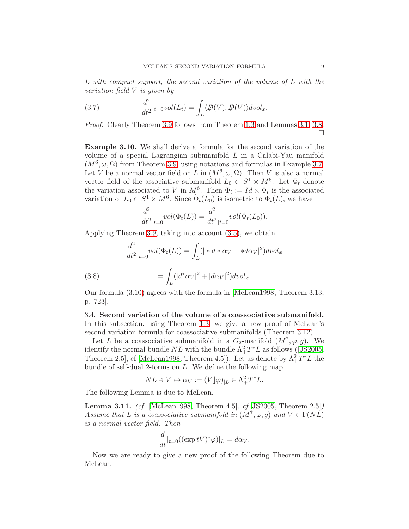L with compact support, the second variation of the volume of L with the variation field V is given by

(3.7) 
$$
\frac{d^2}{dt^2}|_{t=0} vol(L_t) = \int_L \langle \not{D}(V), \not{D}(V) \rangle dvol_x.
$$

Proof. Clearly Theorem [3.9](#page-7-2) follows from Theorem [1.3](#page-2-2) and Lemmas [3.1,](#page-5-2) [3.8.](#page-7-4) П

<span id="page-8-1"></span>Example 3.10. We shall derive a formula for the second variation of the volume of a special Lagrangian submanifold  $L$  in a Calabi-Yau manifold  $(M^6, \omega, \Omega)$  from Theorem [3.9,](#page-7-2) using notations and formulas in Example [3.7.](#page-7-5) Let V be a normal vector field on L in  $(M^6, \omega, \Omega)$ . Then V is also a normal vector field of the associative submanifold  $L_0 \subset S^1 \times M^6$ . Let  $\Phi_t$  denote the variation associated to V in  $M^6$ . Then  $\tilde{\Phi}_t := Id \times \Phi_t$  is the associated variation of  $L_0 \subset S^1 \times M^6$ . Since  $\tilde{\Phi}_t(L_0)$  is isometric to  $\Phi_t(L)$ , we have

$$
\frac{d^2}{dt^2}_{|t=0} vol(\Phi_t(L)) = \frac{d^2}{dt^2}_{|t=0} vol(\tilde{\Phi}_t(L_0)).
$$

Applying Theorem [3.9,](#page-7-2) taking into account [\(3.5\)](#page-7-3), we obtain

<span id="page-8-2"></span>(3.8) 
$$
\frac{d^2}{dt^2}_{|t=0} vol(\Phi_t(L)) = \int_L (| * d * \alpha_V - * d\alpha_V |^2) dvol_x
$$

$$
= \int_L (|d^* \alpha_V |^2 + |d\alpha_V |^2) dvol_x.
$$

Our formula [\(3.10\)](#page-8-2) agrees with the formula in [\[McLean1998,](#page-13-4) Theorem 3.13, p. 723].

<span id="page-8-0"></span>3.4. Second variation of the volume of a coassociative submanifold. In this subsection, using Theorem [1.3,](#page-2-2) we give a new proof of McLean's second variation formula for coassociative submanifolds (Theorem [3.12\)](#page-9-0).

Let L be a coassociative submanifold in a  $G_2$ -manifold  $(M^7, \varphi, g)$ . We identifythe normal bundle  $NL$  with the bundle  $\Lambda^2_+T^*L$  as follows ([\[JS2005,](#page-13-16) Theorem 2.5, cf [\[McLean1998,](#page-13-4) Theorem 4.5]). Let us denote by  $\Lambda^2_+T^*L$  the bundle of self-dual 2-forms on L. We define the following map

$$
NL \ni V \mapsto \alpha_V := (V \rfloor \varphi)_{|L} \in \Lambda^2_+ T^* L.
$$

The following Lemma is due to McLean.

<span id="page-8-3"></span>Lemma 3.11. (cf. [\[McLean1998,](#page-13-4) Theorem 4.5], cf.[\[JS2005,](#page-13-16) Theorem 2.5]) Assume that L is a coassociative submanifold in  $(M^7, \varphi, g)$  and  $V \in \Gamma(NL)$ is a normal vector field. Then

$$
\frac{d}{dt}|_{t=0} ((\exp tV)^*\varphi)|_L = d\alpha_V.
$$

Now we are ready to give a new proof of the following Theorem due to McLean.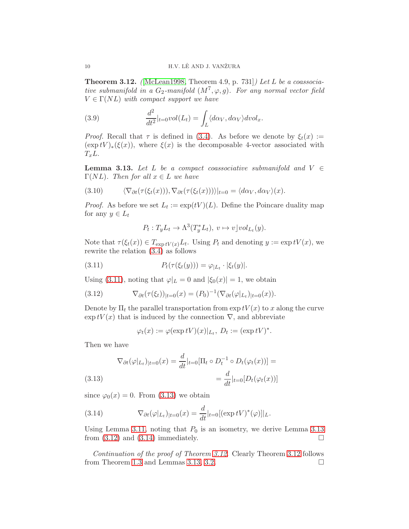<span id="page-9-0"></span>**Theorem 3.12.** (McLean1998, Theorem 4.9, p. 731) Let L be a coassociative submanifold in a  $G_2$ -manifold  $(M^7, \varphi, g)$ . For any normal vector field  $V \in \Gamma(NL)$  with compact support we have

(3.9) 
$$
\frac{d^2}{dt^2}|_{t=0}vol(L_t)=\int_L \langle d\alpha_V, d\alpha_V \rangle dvol_x.
$$

*Proof.* Recall that  $\tau$  is defined in [\(3.4\)](#page-5-3). As before we denote by  $\xi_t(x) :=$  $(\exp tV)_*(\xi(x))$ , where  $\xi(x)$  is the decomposable 4-vector associated with  $T_xL$ .

<span id="page-9-3"></span>**Lemma 3.13.** Let L be a compact coassociative submanifold and  $V \in$  $\Gamma(NL)$ . Then for all  $x \in L$  we have

(3.10) 
$$
\langle \nabla_{\partial t}(\tau(\xi_t(x))), \nabla_{\partial t}(\tau(\xi_t(x))) \rangle |_{t=0} = \langle d\alpha_V, d\alpha_V \rangle(x).
$$

*Proof.* As before we set  $L_t := \exp(tV)(L)$ . Define the Poincare duality map for any  $y \in L_t$ 

<span id="page-9-1"></span>
$$
P_t: T_yL_t \to \Lambda^3(T_y^*L_t), \ v \mapsto v\big\downarrow vol_{L_t}(y).
$$

Note that  $\tau(\xi_t(x)) \in T_{\exp tV(x)}L_t$ . Using  $P_t$  and denoting  $y := \exp tV(x)$ , we rewrite the relation [\(3.4\)](#page-5-3) as follows

(3.11) 
$$
P_t(\tau(\xi_t(y))) = \varphi_{|L_t} \cdot |\xi_t(y)|.
$$

Using [\(3.11\)](#page-9-1), noting that  $\varphi|_L = 0$  and  $|\xi_0(x)| = 1$ , we obtain

(3.12) 
$$
\nabla_{\partial t}(\tau(\xi_t))_{|t=0}(x) = (P_0)^{-1}(\nabla_{\partial t}(\varphi|_{L_t})_{|t=0}(x)).
$$

Denote by  $\Pi_t$  the parallel transportation from  $\exp tV(x)$  to x along the curve  $\exp tV(x)$  that is induced by the connection  $\nabla$ , and abbreviate

<span id="page-9-4"></span>
$$
\varphi_t(x) := \varphi(\exp tV)(x)|_{L_t}, D_t := (\exp tV)^*.
$$

Then we have

<span id="page-9-2"></span>(3.13) 
$$
\nabla_{\partial t}(\varphi|_{L_t})_{|t=0}(x) = \frac{d}{dt}|_{t=0}[\Pi_t \circ D_t^{-1} \circ D_t(\varphi_t(x))] = \frac{d}{dt}|_{t=0}[D_t(\varphi_t(x))]
$$

since  $\varphi_0(x) = 0$ . From [\(3.13\)](#page-9-2) we obtain

<span id="page-9-5"></span>(3.14) 
$$
\nabla_{\partial t}(\varphi|_{L_t})_{|t=0}(x) = \frac{d}{dt}|_{t=0} [(\exp tV)^*(\varphi)]|_{L}.
$$

Using Lemma [3.11,](#page-8-3) noting that  $P_0$  is an isometry, we derive Lemma [3.13](#page-9-3) from  $(3.12)$  and  $(3.14)$  immediately.

Continuation of the proof of Theorem [3.12](#page-9-0). Clearly Theorem [3.12](#page-9-0) follows from Theorem [1.3](#page-2-2) and Lemmas [3.13,](#page-9-3) [3.2.](#page-6-2)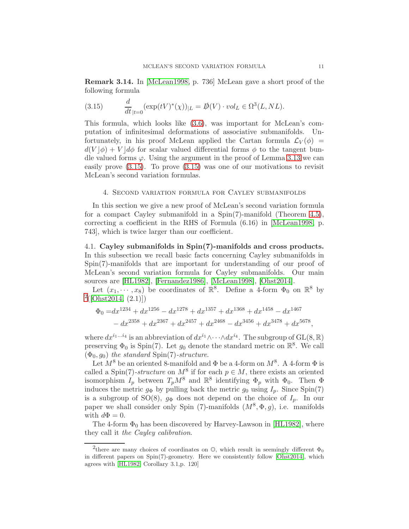Remark 3.14. In [\[McLean1998,](#page-13-4) p. 736] McLean gave a short proof of the following formula

<span id="page-10-2"></span>(3.15) 
$$
\frac{d}{dt}_{|t=0} (\exp(tV)^{*}(\chi))_{|L} = D(V) \cdot vol_{L} \in \Omega^{3}(L, NL).
$$

This formula, which looks like [\(3.6\)](#page-7-1), was important for McLean's computation of infinitesimal deformations of associative submanifolds. Unfortunately, in his proof McLean applied the Cartan formula  $\mathcal{L}_V(\phi)$  =  $d(V|\phi) + V | d\phi$  for scalar valued differential forms  $\phi$  to the tangent bundle valued forms  $\varphi$ . Using the argument in the proof of Lemma [3.13](#page-9-3) we can easily prove [\(3.15\)](#page-10-2). To prove [\(3.15\)](#page-10-2) was one of our motivations to revisit McLean's second variation formulas.

### <span id="page-10-0"></span>4. Second variation formula for Cayley submanifolds

In this section we give a new proof of McLean's second variation formula for a compact Cayley submanifold in a Spin(7)-manifold (Theorem [4.5\)](#page-12-2), correcting a coefficient in the RHS of Formula (6.16) in [\[McLean1998,](#page-13-4) p. 743], which is twice larger than our coefficient.

<span id="page-10-1"></span>4.1. Cayley submanifolds in Spin(7)-manifolds and cross products. In this subsection we recall basic facts concerning Cayley submanifolds in Spin(7)-manifolds that are important for understanding of our proof of McLean's second variation formula for Cayley submanifolds. Our main sources are [\[HL1982\]](#page-13-2), [\[Fernandez1986\]](#page-13-17), [\[McLean1998\]](#page-13-4), [\[Ohst2014\]](#page-13-18).

Let  $(x_1, \dots, x_8)$  be coordinates of  $\mathbb{R}^8$ . Define a 4-form  $\Phi_0$  on  $\mathbb{R}^8$  by  $^{2}([Ohst2014, (2.1)])$  $^{2}([Ohst2014, (2.1)])$  $^{2}([Ohst2014, (2.1)])$  $^{2}([Ohst2014, (2.1)])$  $^{2}([Ohst2014, (2.1)])$ 

$$
\Phi_0 = dx^{1234} + dx^{1256} - dx^{1278} + dx^{1357} + dx^{1368} + dx^{1458} - dx^{1467} - dx^{2358} + dx^{2367} + dx^{2457} + dx^{2468} - dx^{3456} + dx^{3478} + dx^{5678},
$$

where  $dx^{i_1...i_4}$  is an abbreviation of  $dx^{i_1} \wedge \cdots \wedge dx^{i_4}$ . The subgroup of  $GL(8, \mathbb{R})$ preserving  $\Phi_0$  is Spin(7). Let  $g_0$  denote the standard metric on  $\mathbb{R}^8$ . We call  $(\Phi_0, g_0)$  the standard Spin(7)-structure.

Let  $M^8$  be an oriented 8-manifold and  $\Phi$  be a 4-form on  $M^8$ . A 4-form  $\Phi$  is called a Spin(7)-structure on  $M^8$  if for each  $p \in M$ , there exists an oriented isomorphism  $I_p$  between  $T_p M^8$  and  $\mathbb{R}^8$  identifying  $\Phi_p$  with  $\Phi_0$ . Then  $\Phi$ induces the metric  $g_{\Phi}$  by pulling back the metric  $g_0$  using  $I_p$ . Since Spin(7) is a subgroup of SO(8),  $g_{\Phi}$  does not depend on the choice of  $I_p$ . In our paper we shall consider only Spin (7)-manifolds  $(M^8, \Phi, g)$ , i.e. manifolds with  $d\Phi = 0$ .

The 4-form  $\Phi_0$  has been discovered by Harvey-Lawson in [\[HL1982\]](#page-13-2), where they call it the Cayley calibration.

<span id="page-10-3"></span><sup>&</sup>lt;sup>2</sup> there are many choices of coordinates on  $\mathbb{O}$ , which result in seemingly different  $\Phi_0$ in different papers on Spin(7)-geometry. Here we consistently follow [\[Ohst2014\]](#page-13-18), which agrees with [\[HL1982,](#page-13-2) Corollary 3.1,p. 120]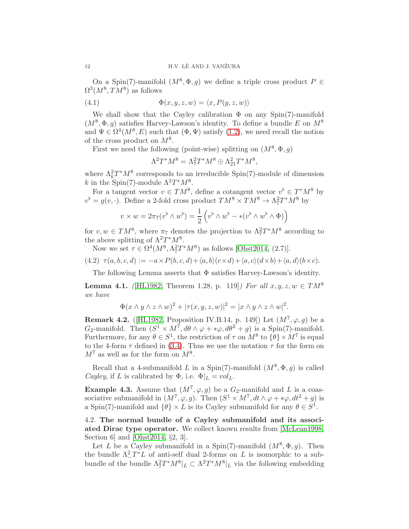On a Spin(7)-manifold  $(M^8, \Phi, g)$  we define a triple cross product  $P \in$  $\Omega^3(M^8, TM^8)$  as follows

(4.1) 
$$
\Phi(x, y, z, w) = \langle x, P(y, z, w) \rangle
$$

We shall show that the Cayley calibration  $\Phi$  on any Spin(7)-manifold  $(M^8, \Phi, g)$  satisfies Harvey-Lawson's identity. To define a bundle E on  $M^8$ and  $\Psi \in \Omega^4(M^8, E)$  such that  $(\Phi, \Psi)$  satisfy  $(1.2)$ , we need recall the notion of the cross product on  $M^8$ .

First we need the following (point-wise) splitting on  $(M^8, \Phi, g)$ 

$$
\Lambda^2 T^* M^8 = \Lambda^2_7 T^* M^8 \oplus \Lambda^2_{21} T^* M^8,
$$

where  $\Lambda_k^2 T^* M^8$  corresponds to an irreducible Spin(7)-module of dimension k in the Spin(7)-module  $\Lambda^2 T^* M^8$ .

For a tangent vector  $v \in TM^8$ , define a cotangent vector  $v^{\flat} \in T^*M^8$  by  $v^{\flat} = g(v, \cdot)$ . Define a 2-fold cross product  $TM^{8} \times TM^{8} \rightarrow \Lambda_{7}^{2}T^{*}M^{8}$  by

$$
v \times w = 2\pi_7(v^{\flat} \wedge w^{\flat}) = \frac{1}{2} \left( v^{\flat} \wedge w^{\flat} - * (v^{\flat} \wedge w^{\flat} \wedge \Phi) \right)
$$

for  $v, w \in TM^8$ , where  $\pi_7$  denotes the projection to  $\Lambda^2 T^*M^8$  according to the above splitting of  $\Lambda^2 T^* M^8$ .

Now we set  $\tau \in \Omega^4(M^8, \Lambda^2 T^* M^8)$  as follows [\[Ohst2014,](#page-13-18) (2.7)].

$$
(4.2) \ \tau(a,b,c,d) := -a \times P(b,c,d) + \langle a,b \rangle (c \times d) + \langle a,c \rangle (d \times b) + \langle a,d \rangle (b \times c).
$$

The following Lemma asserts that  $\Phi$  satisfies Harvey-Lawson's identity.

<span id="page-11-1"></span>**Lemma 4.1.** ([\[HL1982,](#page-13-2) Theorem 1.28, p. 119]) For all  $x, y, z, w \in TM^8$ we have

$$
\Phi(x \wedge y \wedge z \wedge w)^2 + |\tau(x, y, z, w)|^2 = |x \wedge y \wedge z \wedge w|^2.
$$

<span id="page-11-2"></span>**Remark 4.2.** (HL1982, Proposition IV.B.14, p. 149) Let  $(M^7, \varphi, g)$  be a  $G_2$ -manifold. Then  $(S^1 \times M^7, d\theta \wedge \varphi + *\varphi, d\theta^2 + g)$  is a Spin(7)-manifold. Furthermore, for any  $\theta \in S^1$ , the restriction of  $\tau$  on  $M^8$  to  $\{\theta\} \times M^7$  is equal to the 4-form  $\tau$  defined in [\(3.4\)](#page-5-3). Thus we use the notation  $\tau$  for the form on  $M<sup>7</sup>$  as well as for the form on  $M<sup>8</sup>$ .

Recall that a 4-submanifold L in a Spin(7)-manifold  $(M^8, \Phi, g)$  is called Cayley, if L is calibrated by  $\Phi$ , i.e.  $\Phi|_L = vol_L$ .

**Example 4.3.** Assume that  $(M^7, \varphi, g)$  be a  $G_2$ -manifold and L is a coassociative submanifold in  $(M^7, \varphi, g)$ . Then  $(S^1 \times M^7, dt \wedge \varphi + * \varphi, dt^2 + g)$  is a Spin(7)-manifold and  $\{\theta\} \times L$  is its Cayley submanifold for any  $\theta \in S^1$ .

<span id="page-11-0"></span>4.2. The normal bundle of a Cayley submanifold and its associated Dirac type operator. We collect known results from [\[McLean1998,](#page-13-4) Section 6] and [\[Ohst2014,](#page-13-18) §2, 3].

Let L be a Cayley submanifold in a Spin(7)-manifold  $(M^8, \Phi, g)$ . Then the bundle  $\Lambda^2$  -T<sup>\*</sup>L of anti-self dual 2-forms on L is isomorphic to a subbundle of the bundle  $\Lambda^2_7T^*M^8|_L \subset \Lambda^2T^*M^8|_L$  via the following embedding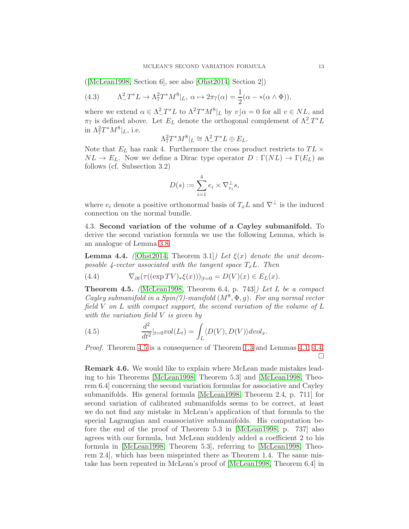([\[McLean1998,](#page-13-4) Section 6], see also [\[Ohst2014,](#page-13-18) Section 2])

(4.3) 
$$
\Lambda_-^2 T^* L \to \Lambda_7^2 T^* M^8 |_{L}, \ \alpha \mapsto 2\pi_7(\alpha) = \frac{1}{2} (\alpha - *(\alpha \wedge \Phi)),
$$

where we extend  $\alpha \in \Lambda^2_T^*L$  to  $\Lambda^2 T^*M^8|_L$  by  $v|\alpha = 0$  for all  $v \in NL$ , and  $\pi_7$  is defined above. Let  $E_L$  denote the orthogonal complement of  $\Lambda^2_-T^*L$ in  $\Lambda^2_7T^*M^8|_L$ , i.e.

$$
\Lambda^2_7T^*M^8|_L\cong \Lambda^2_-T^*L\oplus E_L.
$$

Note that  $E_L$  has rank 4. Furthermore the cross product restricts to  $TL \times$  $NL \to E_L$ . Now we define a Dirac type operator  $D : \Gamma(NL) \to \Gamma(E_L)$  as follows (cf. Subsection 3.2)

$$
D(s) := \sum_{i=1}^{4} e_i \times \nabla_{e_i}^{\perp} s,
$$

where  $e_i$  denote a positive orthonormal basis of  $T_xL$  and  $\nabla^{\perp}$  is the induced connection on the normal bundle.

<span id="page-12-0"></span>4.3. Second variation of the volume of a Cayley submanifold. To derive the second variation formula we use the following Lemma, which is an analogue of Lemma [3.8.](#page-7-4)

<span id="page-12-3"></span>**Lemma 4.4.** ([\[Ohst2014,](#page-13-18) Theorem 3.1]) Let  $\xi(x)$  denote the unit decomposable 4-vector associated with the tangent space  $T_xL$ . Then

(4.4) 
$$
\nabla_{\partial t}(\tau((\exp TV)_*\xi(x)))_{|t=0} = D(V)(x) \in E_L(x).
$$

<span id="page-12-2"></span>**Theorem 4.5.** (McLean1998, Theorem 6.4, p. 743)) Let L be a compact Cayley submanifold in a Spin(7)-manifold  $(M^8, \Phi, g)$ . For any normal vector field V on L with compact support, the second variation of the volume of L with the variation field  $V$  is given by

(4.5) 
$$
\frac{d^2}{dt^2}|_{t=0} vol(L_t) = \int_L \langle D(V), D(V) \rangle dvol_x.
$$

Proof. Theorem [4.5](#page-12-2) is a consequence of Theorem [1.3](#page-2-2) and Lemmas [4.1,](#page-11-1) [4.4.](#page-12-3)  $\Box$ 

<span id="page-12-1"></span>Remark 4.6. We would like to explain where McLean made mistakes leading to his Theorems [\[McLean1998,](#page-13-4) Theorem 5.3] and [\[McLean1998,](#page-13-4) Theorem 6.4] concerning the second variation formulas for associative and Cayley submanifolds. His general formula [\[McLean1998,](#page-13-4) Theorem 2.4, p. 711] for second variation of calibrated submanifolds seems to be correct, at least we do not find any mistake in McLean's application of that formula to the special Lagrangian and coassociative submanifolds. His computation before the end of the proof of Theorem 5.3 in [\[McLean1998,](#page-13-4) p. 737] also agrees with our formula, but McLean suddenly added a coefficient 2 to his formula in [\[McLean1998,](#page-13-4) Theorem 5.3], referring to [\[McLean1998,](#page-13-4) Theorem 2.4], which has been misprinted there as Theorem 1.4. The same mistake has been repeated in McLean's proof of [\[McLean1998,](#page-13-4) Theorem 6.4] in